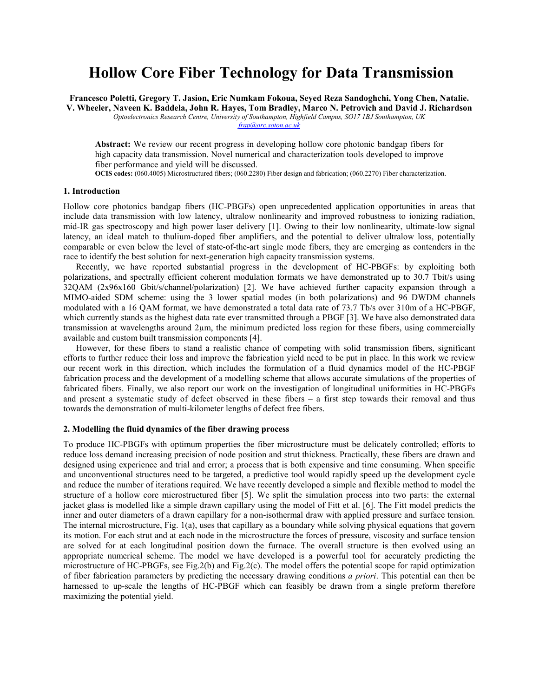# **Hollow Core Fiber Technology for Data Transmission**

**Francesco Poletti, Gregory T. Jasion, Eric Numkam Fokoua, Seyed Reza Sandoghchi, Yong Chen, Natalie. V. Wheeler, Naveen K. Baddela, John R. Hayes, Tom Bradley, Marco N. Petrovich and David J. Richardson** *Optoelectronics Research Centre, University of Southampton, Highfield Campus, SO17 1BJ Southampton, UK [frap@orc.soton.ac.uk](mailto:frap@orc.soton.ac.uk)*

**Abstract:** We review our recent progress in developing hollow core photonic bandgap fibers for high capacity data transmission. Novel numerical and characterization tools developed to improve fiber performance and yield will be discussed.

**OCIS codes:** (060.4005) Microstructured fibers; (060.2280) Fiber design and fabrication; (060.2270) Fiber characterization.

## **1. Introduction**

Hollow core photonics bandgap fibers (HC-PBGFs) open unprecedented application opportunities in areas that include data transmission with low latency, ultralow nonlinearity and improved robustness to ionizing radiation, mid-IR gas spectroscopy and high power laser delivery [1]. Owing to their low nonlinearity, ultimate-low signal latency, an ideal match to thulium-doped fiber amplifiers, and the potential to deliver ultralow loss, potentially comparable or even below the level of state-of-the-art single mode fibers, they are emerging as contenders in the race to identify the best solution for next-generation high capacity transmission systems.

Recently, we have reported substantial progress in the development of HC-PBGFs: by exploiting both polarizations, and spectrally efficient coherent modulation formats we have demonstrated up to 30.7 Tbit/s using 32QAM (2x96x160 Gbit/s/channel/polarization) [2]. We have achieved further capacity expansion through a MIMO-aided SDM scheme: using the 3 lower spatial modes (in both polarizations) and 96 DWDM channels modulated with a 16 QAM format, we have demonstrated a total data rate of 73.7 Tb/s over 310m of a HC-PBGF, which currently stands as the highest data rate ever transmitted through a PBGF [3]. We have also demonstrated data transmission at wavelengths around 2µm, the minimum predicted loss region for these fibers, using commercially available and custom built transmission components [4].

However, for these fibers to stand a realistic chance of competing with solid transmission fibers, significant efforts to further reduce their loss and improve the fabrication yield need to be put in place. In this work we review our recent work in this direction, which includes the formulation of a fluid dynamics model of the HC-PBGF fabrication process and the development of a modelling scheme that allows accurate simulations of the properties of fabricated fibers. Finally, we also report our work on the investigation of longitudinal uniformities in HC-PBGFs and present a systematic study of defect observed in these fibers – a first step towards their removal and thus towards the demonstration of multi-kilometer lengths of defect free fibers.

### **2. Modelling the fluid dynamics of the fiber drawing process**

To produce HC-PBGFs with optimum properties the fiber microstructure must be delicately controlled; efforts to reduce loss demand increasing precision of node position and strut thickness. Practically, these fibers are drawn and designed using experience and trial and error; a process that is both expensive and time consuming. When specific and unconventional structures need to be targeted, a predictive tool would rapidly speed up the development cycle and reduce the number of iterations required. We have recently developed a simple and flexible method to model the structure of a hollow core microstructured fiber [5]. We split the simulation process into two parts: the external jacket glass is modelled like a simple drawn capillary using the model of Fitt et al. [6]. The Fitt model predicts the inner and outer diameters of a drawn capillary for a non-isothermal draw with applied pressure and surface tension. The internal microstructure, Fig. 1(a), uses that capillary as a boundary while solving physical equations that govern its motion. For each strut and at each node in the microstructure the forces of pressure, viscosity and surface tension are solved for at each longitudinal position down the furnace. The overall structure is then evolved using an appropriate numerical scheme. The model we have developed is a powerful tool for accurately predicting the microstructure of HC-PBGFs, see Fig.2(b) and Fig.2(c). The model offers the potential scope for rapid optimization of fiber fabrication parameters by predicting the necessary drawing conditions *a priori*. This potential can then be harnessed to up-scale the lengths of HC-PBGF which can feasibly be drawn from a single preform therefore maximizing the potential yield.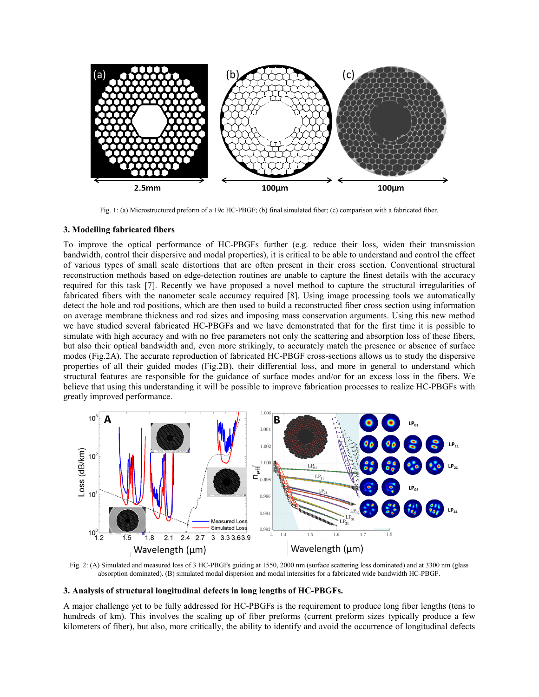

Fig. 1: (a) Microstructured preform of a 19c HC-PBGF; (b) final simulated fiber; (c) comparison with a fabricated fiber.

### **3. Modelling fabricated fibers**

To improve the optical performance of HC-PBGFs further (e.g. reduce their loss, widen their transmission bandwidth, control their dispersive and modal properties), it is critical to be able to understand and control the effect of various types of small scale distortions that are often present in their cross section. Conventional structural reconstruction methods based on edge-detection routines are unable to capture the finest details with the accuracy required for this task [7]. Recently we have proposed a novel method to capture the structural irregularities of fabricated fibers with the nanometer scale accuracy required [8]. Using image processing tools we automatically detect the hole and rod positions, which are then used to build a reconstructed fiber cross section using information on average membrane thickness and rod sizes and imposing mass conservation arguments. Using this new method we have studied several fabricated HC-PBGFs and we have demonstrated that for the first time it is possible to simulate with high accuracy and with no free parameters not only the scattering and absorption loss of these fibers, but also their optical bandwidth and, even more strikingly, to accurately match the presence or absence of surface modes (Fig.2A). The accurate reproduction of fabricated HC-PBGF cross-sections allows us to study the dispersive properties of all their guided modes (Fig.2B), their differential loss, and more in general to understand which structural features are responsible for the guidance of surface modes and/or for an excess loss in the fibers. We believe that using this understanding it will be possible to improve fabrication processes to realize HC-PBGFs with greatly improved performance.



Fig. 2: (A) Simulated and measured loss of 3 HC-PBGFs guiding at 1550, 2000 nm (surface scattering loss dominated) and at 3300 nm (glass absorption dominated). (B) simulated modal dispersion and modal intensities for a fabricated wide bandwidth HC-PBGF.

## **3. Analysis of structural longitudinal defects in long lengths of HC-PBGFs.**

A major challenge yet to be fully addressed for HC-PBGFs is the requirement to produce long fiber lengths (tens to hundreds of km). This involves the scaling up of fiber preforms (current preform sizes typically produce a few kilometers of fiber), but also, more critically, the ability to identify and avoid the occurrence of longitudinal defects